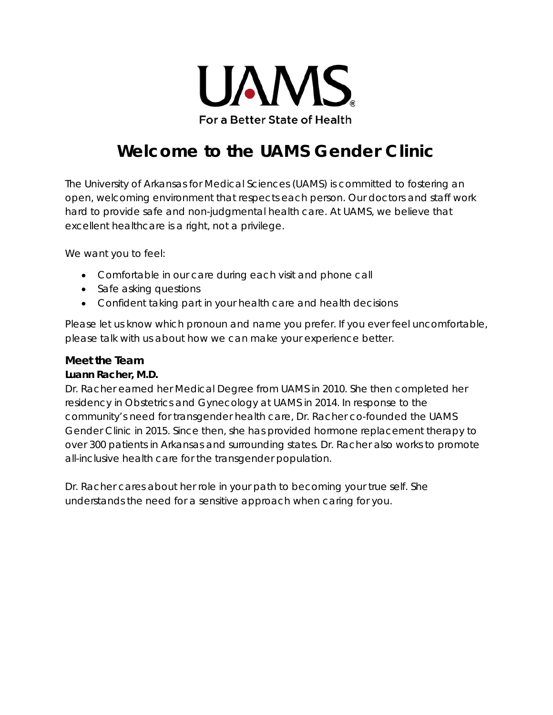

# **Welcome to the UAMS Gender Clinic**

The University of Arkansas for Medical Sciences (UAMS) is committed to fostering an open, welcoming environment that respects each person. Our doctors and staff work hard to provide safe and non-judgmental health care. At UAMS, we believe that excellent healthcare is a right, not a privilege.

We want you to feel:

- Comfortable in our care during each visit and phone call
- Safe asking questions
- Confident taking part in your health care and health decisions

Please let us know which pronoun and name you prefer. If you ever feel uncomfortable, please talk with us about how we can make your experience better.

## **Meet the Team**

#### **Luann Racher, M.D.**

Dr. Racher earned her Medical Degree from UAMS in 2010. She then completed her residency in Obstetrics and Gynecology at UAMS in 2014. In response to the community's need for transgender health care, Dr. Racher co-founded the UAMS Gender Clinic in 2015. Since then, she has provided hormone replacement therapy to over 300 patients in Arkansas and surrounding states. Dr. Racher also works to promote all-inclusive health care for the transgender population.

Dr. Racher cares about her role in your path to becoming your true self. She understands the need for a sensitive approach when caring for you.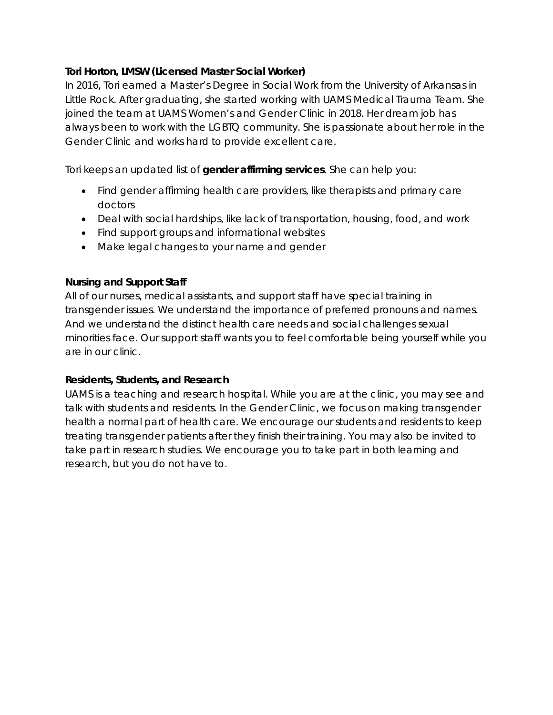#### **Tori Horton, LMSW (Licensed Master Social Worker)**

In 2016, Tori earned a Master's Degree in Social Work from the University of Arkansas in Little Rock. After graduating, she started working with UAMS Medical Trauma Team. She joined the team at UAMS Women's and Gender Clinic in 2018. Her dream job has always been to work with the LGBTQ community. She is passionate about her role in the Gender Clinic and works hard to provide excellent care.

Tori keeps an updated list of **gender affirming services**. She can help you:

- Find gender affirming health care providers, like therapists and primary care doctors
- Deal with social hardships, like lack of transportation, housing, food, and work
- Find support groups and informational websites
- Make legal changes to your name and gender

#### **Nursing and Support Staff**

All of our nurses, medical assistants, and support staff have special training in transgender issues. We understand the importance of preferred pronouns and names. And we understand the distinct health care needs and social challenges sexual minorities face. Our support staff wants you to feel comfortable being yourself while you are in our clinic.

#### **Residents, Students, and Research**

UAMS is a teaching and research hospital. While you are at the clinic, you may see and talk with students and residents. In the Gender Clinic, we focus on making transgender health a normal part of health care. We encourage our students and residents to keep treating transgender patients after they finish their training. You may also be invited to take part in research studies. We encourage you to take part in both learning and research, but you do not have to.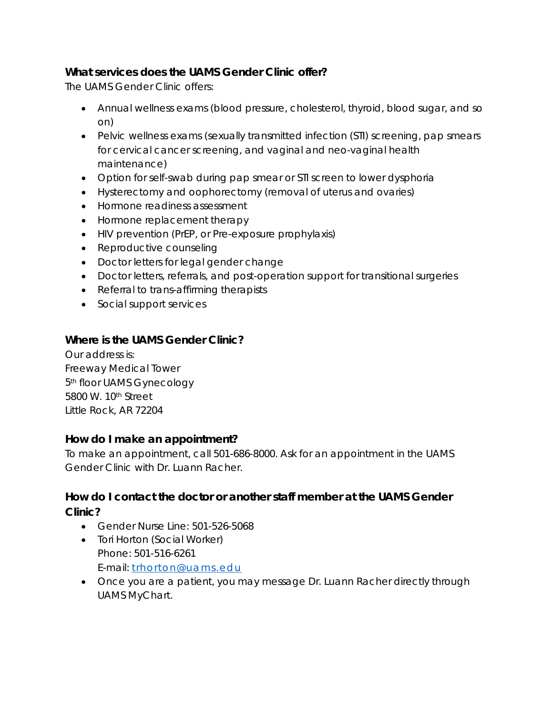# **What services does the UAMS Gender Clinic offer?**

The UAMS Gender Clinic offers:

- Annual wellness exams (blood pressure, cholesterol, thyroid, blood sugar, and so on)
- Pelvic wellness exams (sexually transmitted infection (STI) screening, pap smears for cervical cancer screening, and vaginal and neo-vaginal health maintenance)
- Option for self-swab during pap smear or STI screen to lower dysphoria
- Hysterectomy and oophorectomy (removal of uterus and ovaries)
- Hormone readiness assessment
- Hormone replacement therapy
- HIV prevention (PrEP, or Pre-exposure prophylaxis)
- Reproductive counseling
- Doctor letters for legal gender change
- Doctor letters, referrals, and post-operation support for transitional surgeries
- Referral to trans-affirming therapists
- Social support services

# **Where is the UAMS Gender Clinic?**

Our address is: Freeway Medical Tower 5th floor UAMS Gynecology 5800 W. 10th Street Little Rock, AR 72204

## **How do I make an appointment?**

To make an appointment, call 501-686-8000. Ask for an appointment in the UAMS Gender Clinic with Dr. Luann Racher.

# **How do I contact the doctor or another staff member at the UAMS Gender Clinic?**

- Gender Nurse Line: 501-526-5068
- Tori Horton (Social Worker) Phone: 501-516-6261 E-mail: [trhorton@uams.edu](mailto:trhorton@uams.edu)
- Once you are a patient, you may message Dr. Luann Racher directly through UAMS MyChart.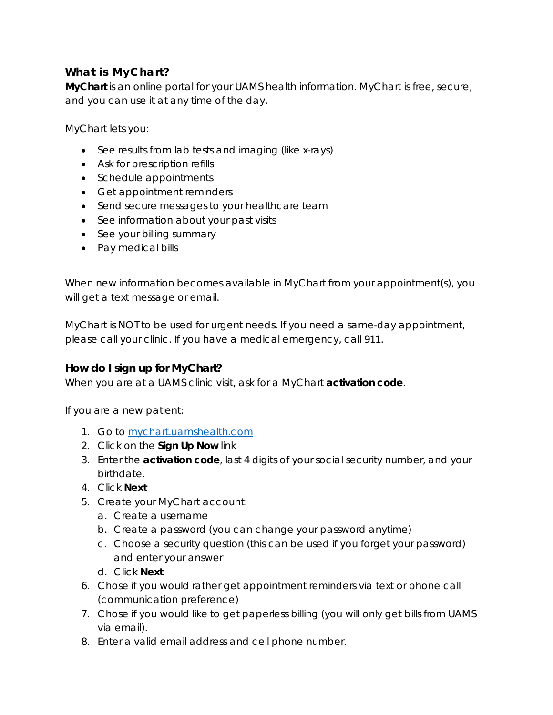# **What is MyChart?**

**MyChart** is an online portal for your UAMS health information. MyChart is free, secure, and you can use it at any time of the day.

MyChart lets you:

- See results from lab tests and imaging (like x-rays)
- Ask for prescription refills
- Schedule appointments
- Get appointment reminders
- Send secure messages to your healthcare team
- See information about your past visits
- See your billing summary
- Pay medical bills

When new information becomes available in MyChart from your appointment(s), you will get a text message or email.

MyChart is NOT to be used for urgent needs. If you need a same-day appointment, please call your clinic. If you have a medical emergency, call 911.

## **How do I sign up for MyChart?**

When you are at a UAMS clinic visit, ask for a MyChart **activation code**.

If you are a new patient:

- 1. Go to mychart.uamshealth.com
- 2. Click on the **Sign Up Now** link
- 3. Enter the **activation code**, last 4 digits of your social security number, and your birthdate.
- 4. Click **Next**
- 5. Create your MyChart account:
	- a. Create a username
	- b. Create a password (you can change your password anytime)
	- c. Choose a security question (this can be used if you forget your password) and enter your answer
	- d. Click **Next**
- 6. Chose if you would rather get appointment reminders via text or phone call (communication preference)
- 7. Chose if you would like to get paperless billing (you will only get bills from UAMS via email).
- 8. Enter a valid email address and cell phone number.